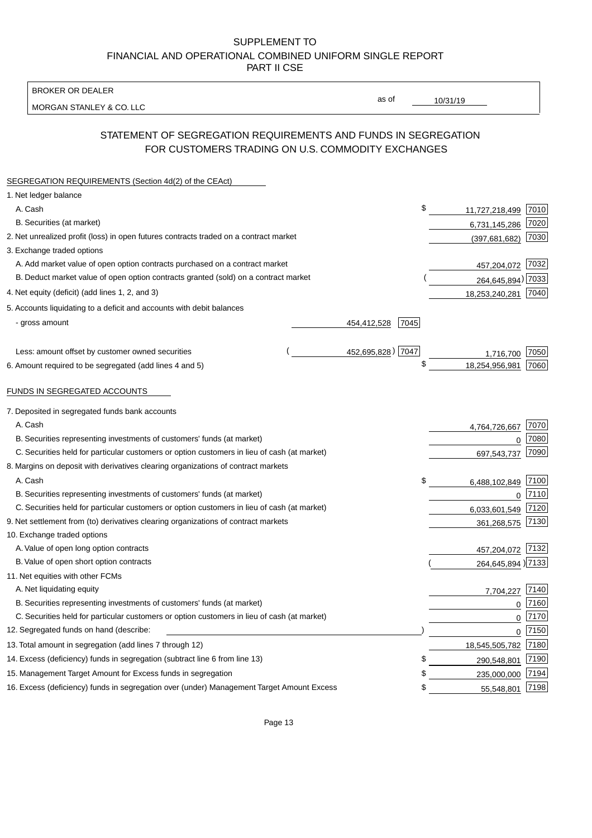BROKER OR DEALER

MORGAN STANLEY & CO. LLC

10/31/19

as of

# STATEMENT OF SEGREGATION REQUIREMENTS AND FUNDS IN SEGREGATION FOR CUSTOMERS TRADING ON U.S. COMMODITY EXCHANGES

| SEGREGATION REQUIREMENTS (Section 4d(2) of the CEAct)                                       |                     |                     |      |
|---------------------------------------------------------------------------------------------|---------------------|---------------------|------|
| 1. Net ledger balance                                                                       |                     |                     |      |
| A. Cash                                                                                     | \$                  | 11,727,218,499      | 7010 |
| B. Securities (at market)                                                                   |                     | 6,731,145,286       | 7020 |
| 2. Net unrealized profit (loss) in open futures contracts traded on a contract market       |                     | (397, 681, 682)     | 7030 |
| 3. Exchange traded options                                                                  |                     |                     |      |
| A. Add market value of open option contracts purchased on a contract market                 |                     | 457,204,072 7032    |      |
| B. Deduct market value of open option contracts granted (sold) on a contract market         |                     | 264,645,894) 7033   |      |
| 4. Net equity (deficit) (add lines 1, 2, and 3)                                             |                     | 18,253,240,281      | 7040 |
| 5. Accounts liquidating to a deficit and accounts with debit balances                       |                     |                     |      |
| - gross amount                                                                              | 7045<br>454,412,528 |                     |      |
|                                                                                             |                     |                     |      |
| Less: amount offset by customer owned securities                                            | 452,695,828) 7047   | 1,716,700           | 7050 |
| 6. Amount required to be segregated (add lines 4 and 5)                                     | S                   | 18,254,956,981      | 7060 |
| FUNDS IN SEGREGATED ACCOUNTS                                                                |                     |                     |      |
| 7. Deposited in segregated funds bank accounts                                              |                     |                     |      |
| A. Cash                                                                                     |                     | 4,764,726,667       | 7070 |
| B. Securities representing investments of customers' funds (at market)                      |                     | 0                   | 7080 |
| C. Securities held for particular customers or option customers in lieu of cash (at market) |                     | 697,543,737         | 7090 |
| 8. Margins on deposit with derivatives clearing organizations of contract markets           |                     |                     |      |
| A. Cash                                                                                     | \$                  | 6,488,102,849       | 7100 |
| B. Securities representing investments of customers' funds (at market)                      |                     | 0                   | 7110 |
| C. Securities held for particular customers or option customers in lieu of cash (at market) |                     | 6,033,601,549       | 7120 |
| 9. Net settlement from (to) derivatives clearing organizations of contract markets          |                     | 361,268,575         | 7130 |
| 10. Exchange traded options                                                                 |                     |                     |      |
| A. Value of open long option contracts                                                      |                     | 457,204,072 7132    |      |
| B. Value of open short option contracts                                                     |                     | 264,645,894) 7133   |      |
| 11. Net equities with other FCMs                                                            |                     |                     |      |
| A. Net liquidating equity                                                                   |                     | 7,704,227           | 7140 |
| B. Securities representing investments of customers' funds (at market)                      |                     | $\mathbf 0$         | 7160 |
| C. Securities held for particular customers or option customers in lieu of cash (at market) |                     | $\mathbf 0$         | 7170 |
| 12. Segregated funds on hand (describe:                                                     |                     | $\mathbf 0$         | 7150 |
| 13. Total amount in segregation (add lines 7 through 12)                                    |                     | 18,545,505,782 7180 |      |
| 14. Excess (deficiency) funds in segregation (subtract line 6 from line 13)                 | \$                  | 290,548,801         | 7190 |
| 15. Management Target Amount for Excess funds in segregation                                | \$                  | 235,000,000         | 7194 |
| 16. Excess (deficiency) funds in segregation over (under) Management Target Amount Excess   | \$                  | 55,548,801          | 7198 |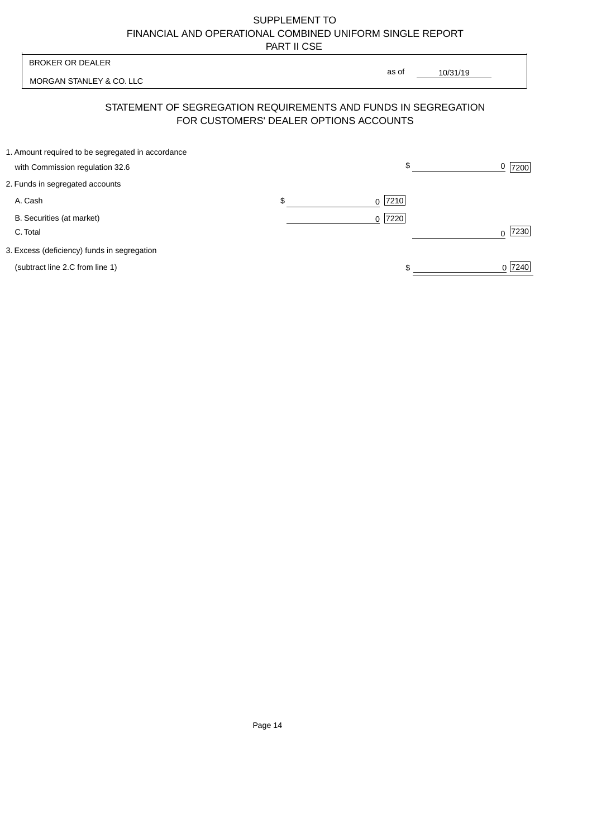|                                       | <b>BROKER OR DEALER</b>                                                              |                                        | as of            |                  |  |
|---------------------------------------|--------------------------------------------------------------------------------------|----------------------------------------|------------------|------------------|--|
|                                       | MORGAN STANLEY & CO. LLC                                                             |                                        |                  | 10/31/19         |  |
|                                       | STATEMENT OF SEGREGATION REQUIREMENTS AND FUNDS IN SEGREGATION                       | FOR CUSTOMERS' DEALER OPTIONS ACCOUNTS |                  |                  |  |
|                                       | 1. Amount required to be segregated in accordance<br>with Commission regulation 32.6 |                                        | \$               | 0<br>7200        |  |
|                                       | 2. Funds in segregated accounts                                                      |                                        |                  |                  |  |
| A. Cash                               |                                                                                      | \$                                     | 7210<br>$\Omega$ |                  |  |
| B. Securities (at market)<br>C. Total |                                                                                      |                                        | 0 7220           | 7230<br>$\Omega$ |  |
|                                       | 3. Excess (deficiency) funds in segregation                                          |                                        |                  |                  |  |
|                                       | (subtract line 2.C from line 1)                                                      |                                        |                  | 0 7240           |  |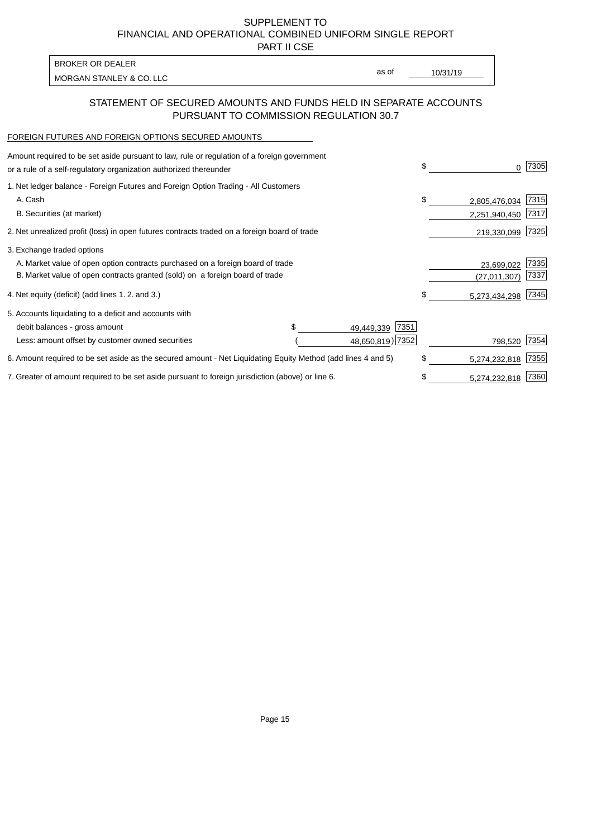PART II CSE

| <b>BROKER OR DEALER</b>  |       |          |
|--------------------------|-------|----------|
| MORGAN STANLEY & CO. LLC | as of | 10/31/19 |
|                          |       |          |

### STATEMENT OF SECURED AMOUNTS AND FUNDS HELD IN SEPARATE ACCOUNTS PURSUANT TO COMMISSION REGULATION 30.7

#### FOREIGN FUTURES AND FOREIGN OPTIONS SECURED AMOUNTS

| Amount required to be set aside pursuant to law, rule or regulation of a foreign government<br>or a rule of a self-regulatory organization authorized thereunder |  |                    | \$  |                    | 7305 |
|------------------------------------------------------------------------------------------------------------------------------------------------------------------|--|--------------------|-----|--------------------|------|
| 1. Net ledger balance - Foreign Futures and Foreign Option Trading - All Customers                                                                               |  |                    |     |                    |      |
| A. Cash                                                                                                                                                          |  |                    | \$  | 2,805,476,034      | 7315 |
| B. Securities (at market)                                                                                                                                        |  |                    |     | 2,251,940,450      | 7317 |
| 2. Net unrealized profit (loss) in open futures contracts traded on a foreign board of trade                                                                     |  |                    |     | 219,330,099        | 7325 |
| 3. Exchange traded options                                                                                                                                       |  |                    |     |                    |      |
| A. Market value of open option contracts purchased on a foreign board of trade                                                                                   |  |                    |     | 23,699,022         | 7335 |
| B. Market value of open contracts granted (sold) on a foreign board of trade                                                                                     |  |                    |     | (27,011,307)       | 7337 |
| 4. Net equity (deficit) (add lines 1.2. and 3.)                                                                                                                  |  |                    | \$. | 5,273,434,298 7345 |      |
| 5. Accounts liquidating to a deficit and accounts with                                                                                                           |  |                    |     |                    |      |
| debit balances - gross amount                                                                                                                                    |  | 7351<br>49,449,339 |     |                    |      |
| Less: amount offset by customer owned securities                                                                                                                 |  | 48,650,819) 7352   |     | 798,520            | 7354 |
| 6. Amount required to be set aside as the secured amount - Net Liquidating Equity Method (add lines 4 and 5)                                                     |  |                    |     | 5,274,232,818      | 7355 |
| 7. Greater of amount required to be set aside pursuant to foreign jurisdiction (above) or line 6.                                                                |  |                    |     | 5,274,232,818      | 7360 |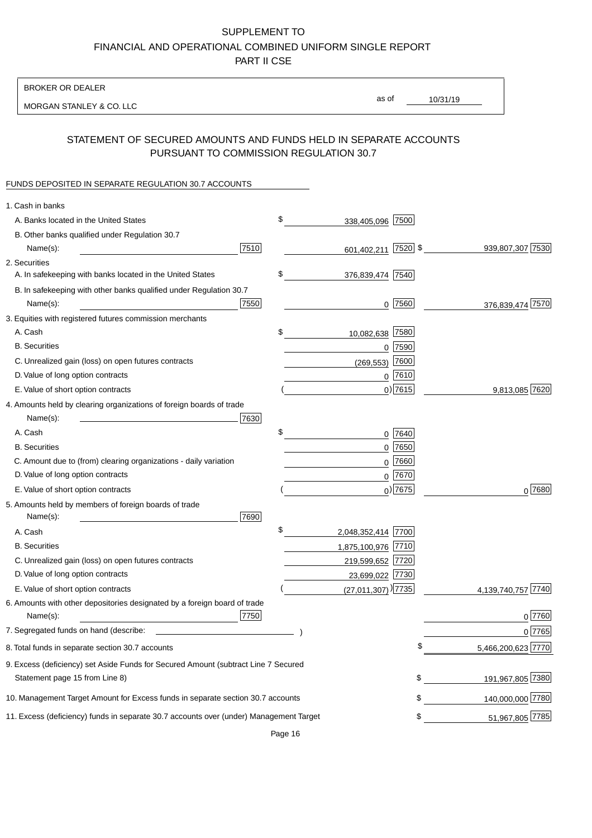BROKER OR DEALER

MORGAN STANLEY & CO. LLC

10/31/19 as of

## STATEMENT OF SECURED AMOUNTS AND FUNDS HELD IN SEPARATE ACCOUNTS PURSUANT TO COMMISSION REGULATION 30.7

### FUNDS DEPOSITED IN SEPARATE REGULATION 30.7 ACCOUNTS

| 1. Cash in banks                                                                       |      |                                    |             |                    |
|----------------------------------------------------------------------------------------|------|------------------------------------|-------------|--------------------|
| A. Banks located in the United States                                                  | \$   | 338,405,096                        | 7500        |                    |
| B. Other banks qualified under Regulation 30.7                                         |      |                                    |             |                    |
| Name(s):                                                                               | 7510 | 601,402,211 7520 \$                |             | 939,807,307 7530   |
| 2. Securities                                                                          |      |                                    |             |                    |
| A. In safekeeping with banks located in the United States                              | \$   | 376,839,474 7540                   |             |                    |
| B. In safekeeping with other banks qualified under Regulation 30.7                     |      |                                    |             |                    |
| Name(s):                                                                               | 7550 | 0                                  | 7560        | 376,839,474 7570   |
| 3. Equities with registered futures commission merchants                               |      |                                    |             |                    |
| A. Cash                                                                                | \$   | 10,082,638                         | 7580        |                    |
| <b>B.</b> Securities                                                                   |      |                                    | $0$ 7590    |                    |
| C. Unrealized gain (loss) on open futures contracts                                    |      | (269, 553)                         | 7600        |                    |
| D. Value of long option contracts                                                      |      |                                    | $0$ 7610    |                    |
| E. Value of short option contracts                                                     |      |                                    | $0)$ 7615   | 9,813,085 7620     |
| 4. Amounts held by clearing organizations of foreign boards of trade                   |      |                                    |             |                    |
| Name(s):                                                                               | 7630 |                                    |             |                    |
| A. Cash                                                                                | \$   |                                    | 0 7640      |                    |
| <b>B.</b> Securities                                                                   |      |                                    | $0$ 7650    |                    |
| C. Amount due to (from) clearing organizations - daily variation                       |      | 0                                  | 7660        |                    |
| D. Value of long option contracts                                                      |      |                                    | 0 7670      |                    |
| E. Value of short option contracts                                                     |      |                                    | $_0$ ) 7675 | 0 7680             |
| 5. Amounts held by members of foreign boards of trade                                  |      |                                    |             |                    |
| Name(s):                                                                               | 7690 |                                    |             |                    |
| A. Cash                                                                                | \$   | 2,048,352,414 7700                 |             |                    |
| <b>B.</b> Securities                                                                   |      | 1,875,100,976 7710                 |             |                    |
| C. Unrealized gain (loss) on open futures contracts                                    |      | 219,599,652 7720                   |             |                    |
| D. Value of long option contracts                                                      |      | 23,699,022 7730                    |             |                    |
| E. Value of short option contracts                                                     |      | $(27,011,307)$ <sup>)</sup> [7735] |             | 4,139,740,757 7740 |
| 6. Amounts with other depositories designated by a foreign board of trade              |      |                                    |             |                    |
| Name(s):                                                                               | 7750 |                                    |             | 0 7760             |
| 7. Segregated funds on hand (describe:                                                 |      |                                    |             | 0 7765             |
| 8. Total funds in separate section 30.7 accounts                                       |      |                                    |             | 5,466,200,623 7770 |
| 9. Excess (deficiency) set Aside Funds for Secured Amount (subtract Line 7 Secured     |      |                                    |             |                    |
| Statement page 15 from Line 8)                                                         |      |                                    | \$          | 191,967,805 7380   |
| 10. Management Target Amount for Excess funds in separate section 30.7 accounts        |      |                                    | \$          | 140,000,000 7780   |
| 11. Excess (deficiency) funds in separate 30.7 accounts over (under) Management Target |      |                                    | \$          | 51,967,805 7785    |
|                                                                                        |      |                                    |             |                    |

Page 16